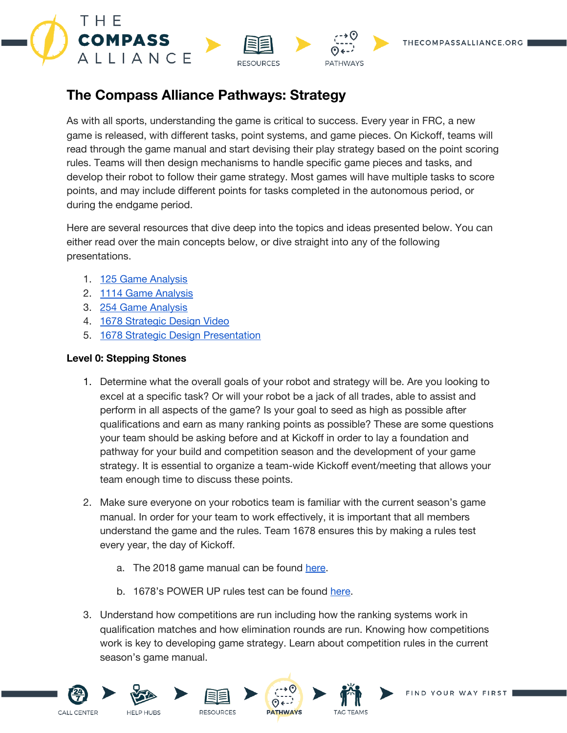



# **The Compass Alliance Pathways: Strategy**

As with all sports, understanding the game is critical to success. Every year in FRC, a new game is released, with different tasks, point systems, and game pieces. On Kickoff, teams will read through the game manual and start devising their play strategy based on the point scoring rules. Teams will then design mechanisms to handle specific game pieces and tasks, and develop their robot to follow their game strategy. Most games will have multiple tasks to score points, and may include different points for tasks completed in the autonomous period, or during the endgame period.

Here are several resources that dive deep into the topics and ideas presented below. You can either read over the main concepts below, or dive straight into any of the following presentations.

- 1. 125 Game [Analysis](https://static1.squarespace.com/static/586e6c73b3db2bba412e767c/t/59f89c79d6839a24f2abd025/1509465215185/Game+Breaking+-+FRC125+University+Day+2017.pdf)
- 2. 1114 Game [Analysis](http://www.simbotics.org/files/pdf/effective_first_strategies.pdf)
- 3. 254 Game [Analysis](https://www.team254.com/documents/fundamentals-of-game-analysis-and-strategic-design/)
- 4. 1678 [Strategic](https://www.youtube.com/watch?v=SVacrE4sKig) Design Video
- 5. 1678 Strategic Design [Presentation](http://www.citruscircuits.org/uploads/6/9/3/4/6934550/strategic_design.pdf)

### **Level 0: Stepping Stones**

- 1. Determine what the overall goals of your robot and strategy will be. Are you looking to excel at a specific task? Or will your robot be a jack of all trades, able to assist and perform in all aspects of the game? Is your goal to seed as high as possible after qualifications and earn as many ranking points as possible? These are some questions your team should be asking before and at Kickoff in order to lay a foundation and pathway for your build and competition season and the development of your game strategy. It is essential to organize a team-wide Kickoff event/meeting that allows your team enough time to discuss these points.
- 2. Make sure everyone on your robotics team is familiar with the current season's game manual. In order for your team to work effectively, it is important that all members understand the game and the rules. Team 1678 ensures this by making a rules test every year, the day of Kickoff.
	- a. The 2018 game manual can be found [here.](https://firstfrc.blob.core.windows.net/frc2018/Manual/2018FRCGameSeasonManual.pdf)
	- b. 1678's POWER UP rules test can be found [here.](https://drive.google.com/open?id=1M6UVubSfBp_EbGdchUBYtVmTQdoQe1WARx8RsXPn7tU)
- 3. Understand how competitions are run including how the ranking systems work in qualification matches and how elimination rounds are run. Knowing how competitions work is key to developing game strategy. Learn about competition rules in the current season's game manual.











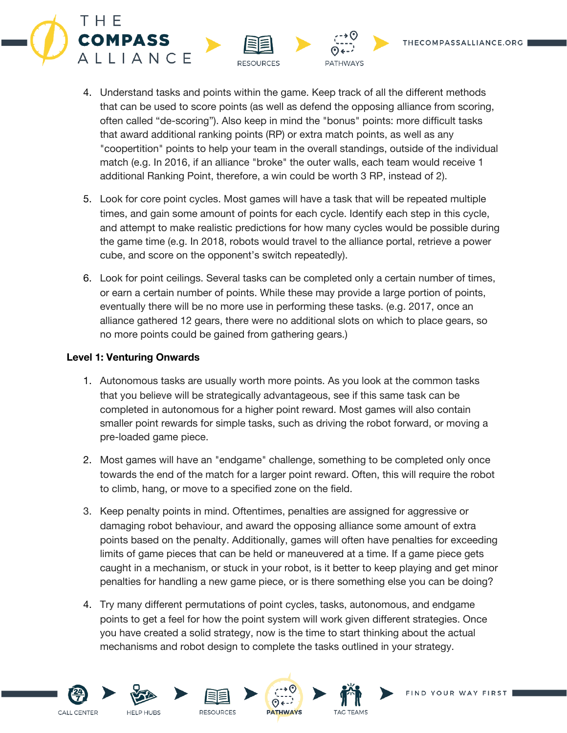4. Understand tasks and points within the game. Keep track of all the different methods that can be used to score points (as well as defend the opposing alliance from scoring, often called "de-scoring"). Also keep in mind the "bonus" points: more difficult tasks that award additional ranking points (RP) or extra match points, as well as any "coopertition" points to help your team in the overall standings, outside of the individual match (e.g. In 2016, if an alliance "broke" the outer walls, each team would receive 1 additional Ranking Point, therefore, a win could be worth 3 RP, instead of 2).

**PATHWAYS** 

**RESOURCES** 

- 5. Look for core point cycles. Most games will have a task that will be repeated multiple times, and gain some amount of points for each cycle. Identify each step in this cycle, and attempt to make realistic predictions for how many cycles would be possible during the game time (e.g. In 2018, robots would travel to the alliance portal, retrieve a power cube, and score on the opponent's switch repeatedly).
- 6. Look for point ceilings. Several tasks can be completed only a certain number of times, or earn a certain number of points. While these may provide a large portion of points, eventually there will be no more use in performing these tasks. (e.g. 2017, once an alliance gathered 12 gears, there were no additional slots on which to place gears, so no more points could be gained from gathering gears.)

### **Level 1: Venturing Onwards**

THE

**COMPASS** 

ALLIANCE

- 1. Autonomous tasks are usually worth more points. As you look at the common tasks that you believe will be strategically advantageous, see if this same task can be completed in autonomous for a higher point reward. Most games will also contain smaller point rewards for simple tasks, such as driving the robot forward, or moving a pre-loaded game piece.
- 2. Most games will have an "endgame" challenge, something to be completed only once towards the end of the match for a larger point reward. Often, this will require the robot to climb, hang, or move to a specified zone on the field.
- 3. Keep penalty points in mind. Oftentimes, penalties are assigned for aggressive or damaging robot behaviour, and award the opposing alliance some amount of extra points based on the penalty. Additionally, games will often have penalties for exceeding limits of game pieces that can be held or maneuvered at a time. If a game piece gets caught in a mechanism, or stuck in your robot, is it better to keep playing and get minor penalties for handling a new game piece, or is there something else you can be doing?
- 4. Try many different permutations of point cycles, tasks, autonomous, and endgame points to get a feel for how the point system will work given different strategies. Once you have created a solid strategy, now is the time to start thinking about the actual mechanisms and robot design to complete the tasks outlined in your strategy.





**HELP HURS** 









THECOMPASSALLIANCE.ORG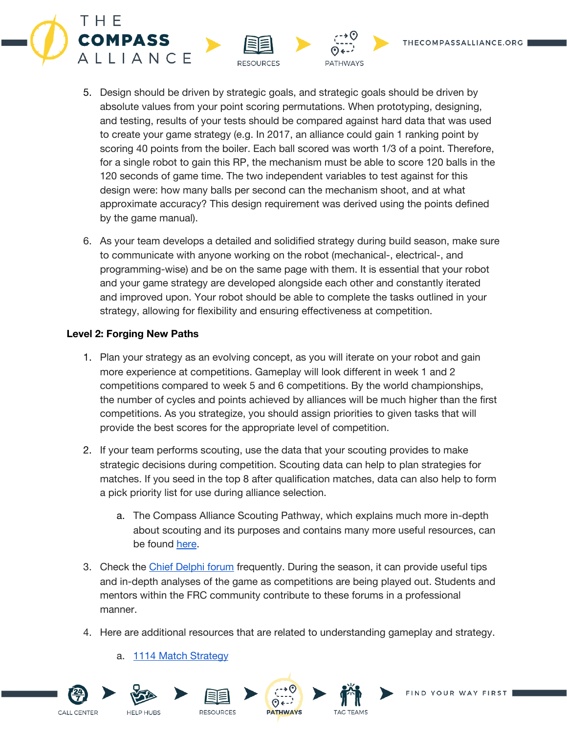



**PATHWAYS** 

**RESOURCES** 

6. As your team develops a detailed and solidified strategy during build season, make sure to communicate with anyone working on the robot (mechanical-, electrical-, and programming-wise) and be on the same page with them. It is essential that your robot and your game strategy are developed alongside each other and constantly iterated and improved upon. Your robot should be able to complete the tasks outlined in your strategy, allowing for flexibility and ensuring effectiveness at competition.

### **Level 2: Forging New Paths**

THE

**COMPASS** 

ALLIANCE

- 1. Plan your strategy as an evolving concept, as you will iterate on your robot and gain more experience at competitions. Gameplay will look different in week 1 and 2 competitions compared to week 5 and 6 competitions. By the world championships, the number of cycles and points achieved by alliances will be much higher than the first competitions. As you strategize, you should assign priorities to given tasks that will provide the best scores for the appropriate level of competition.
- 2. If your team performs scouting, use the data that your scouting provides to make strategic decisions during competition. Scouting data can help to plan strategies for matches. If you seed in the top 8 after qualification matches, data can also help to form a pick priority list for use during alliance selection.
	- a. The Compass Alliance Scouting Pathway, which explains much more in-depth about scouting and its purposes and contains many more useful resources, can be found [here](https://www.thecompassalliance.org/Pathways/Scouting).
- 3. Check the Chief [Delphi](https://www.chiefdelphi.com/forums/forumdisplay.php?f=16) forum frequently. During the season, it can provide useful tips and in-depth analyses of the game as competitions are being played out. Students and mentors within the FRC community contribute to these forums in a professional manner.
- 4. Here are additional resources that are related to understanding gameplay and strategy.
	- a. 1114 Match [Strategy](http://www.simbotics.org/resources/strategy/match-strategies)









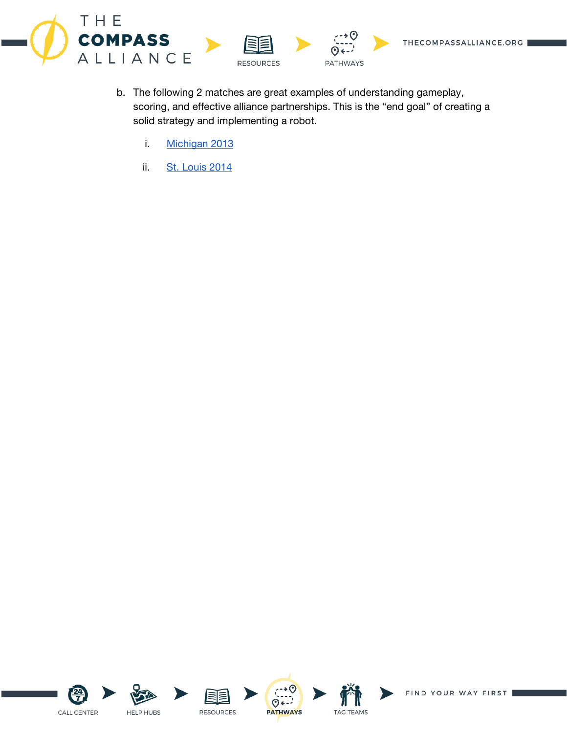



- b. The following 2 matches are great examples of understanding gameplay, scoring, and effective alliance partnerships. This is the "end goal" of creating a solid strategy and implementing a robot.
	- i. [Michigan](https://www.youtube.com/watch?v=mUUL97AQ_3A) 2013
	- ii. St. [Louis](https://www.youtube.com/watch?v=dzvnSapnzBA) 2014